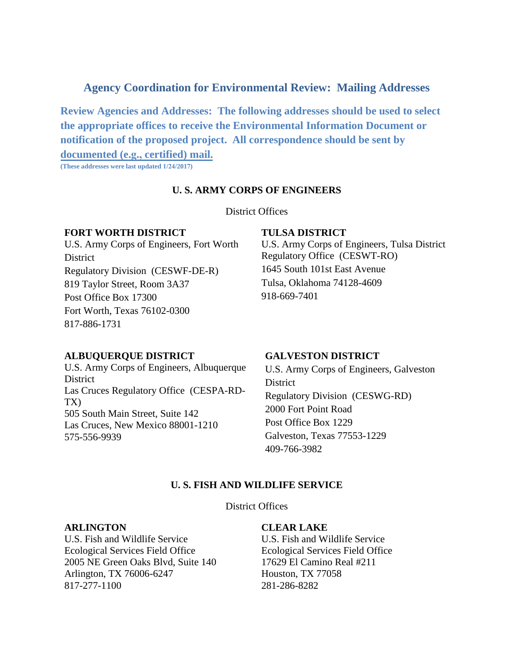# **Agency Coordination for Environmental Review: Mailing Addresses**

**Review Agencies and Addresses: The following addresses should be used to select the appropriate offices to receive the Environmental Information Document or notification of the proposed project. All correspondence should be sent by documented (e.g., certified) mail.**

**(These addresses were last updated 1/24/2017)** 

# **U. S. ARMY CORPS OF ENGINEERS**

#### District Offices

#### **FORT WORTH DISTRICT**

U.S. Army Corps of Engineers, Fort Worth **District** Regulatory Division (CESWF-DE-R) 819 Taylor Street, Room 3A37 Post Office Box 17300 Fort Worth, Texas 76102-0300 817-886-1731

#### **TULSA DISTRICT**

U.S. Army Corps of Engineers, Tulsa District Regulatory Office (CESWT-RO) 1645 South 101st East Avenue Tulsa, Oklahoma 74128-4609 918-669-7401

# **ALBUQUERQUE DISTRICT**

U.S. Army Corps of Engineers, Albuquerque District Las Cruces Regulatory Office (CESPA-RD-TX) 505 South Main Street, Suite 142 Las Cruces, New Mexico 88001-1210 575-556-9939

# **GALVESTON DISTRICT**

U.S. Army Corps of Engineers, Galveston District Regulatory Division (CESWG-RD) 2000 Fort Point Road Post Office Box 1229 Galveston, Texas 77553-1229 409-766-3982

# **U. S. FISH AND WILDLIFE SERVICE**

District Offices

### **ARLINGTON**

U.S. Fish and Wildlife Service Ecological Services Field Office 2005 NE Green Oaks Blvd, Suite 140 Arlington, TX 76006-6247 817-277-1100

# **CLEAR LAKE**

U.S. Fish and Wildlife Service Ecological Services Field Office 17629 El Camino Real #211 Houston, TX 77058 281-286-8282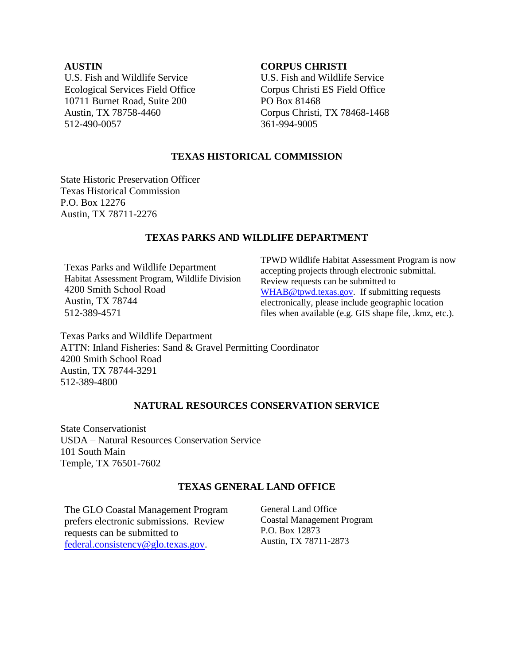### **AUSTIN**

U.S. Fish and Wildlife Service Ecological Services Field Office 10711 Burnet Road, Suite 200 Austin, TX 78758-4460 512-490-0057

### **CORPUS CHRISTI**

U.S. Fish and Wildlife Service Corpus Christi ES Field Office PO Box 81468 Corpus Christi, TX 78468-1468 361-994-9005

# **TEXAS HISTORICAL COMMISSION**

State Historic Preservation Officer Texas Historical Commission P.O. Box 12276 Austin, TX 78711-2276

# **TEXAS PARKS AND WILDLIFE DEPARTMENT**

Texas Parks and Wildlife Department Habitat Assessment Program, Wildlife Division 4200 Smith School Road Austin, TX 78744 512-389-4571

TPWD Wildlife Habitat Assessment Program is now accepting projects through electronic submittal. Review requests can be submitted to [WHAB@tpwd.texas.gov.](mailto:WHAB@tpwd.texas.gov) If submitting requests electronically, please include geographic location files when available (e.g. GIS shape file, .kmz, etc.).

Texas Parks and Wildlife Department ATTN: Inland Fisheries: Sand & Gravel Permitting Coordinator 4200 Smith School Road Austin, TX 78744-3291 512-389-4800

# **NATURAL RESOURCES CONSERVATION SERVICE**

State Conservationist USDA – Natural Resources Conservation Service 101 South Main Temple, TX 76501-7602

# **TEXAS GENERAL LAND OFFICE**

The GLO Coastal Management Program prefers electronic submissions. Review requests can be submitted to [federal.consistency@glo.texas.gov.](mailto:federal.consistency@glo.texas.gov)

General Land Office Coastal Management Program P.O. Box 12873 Austin, TX 78711-2873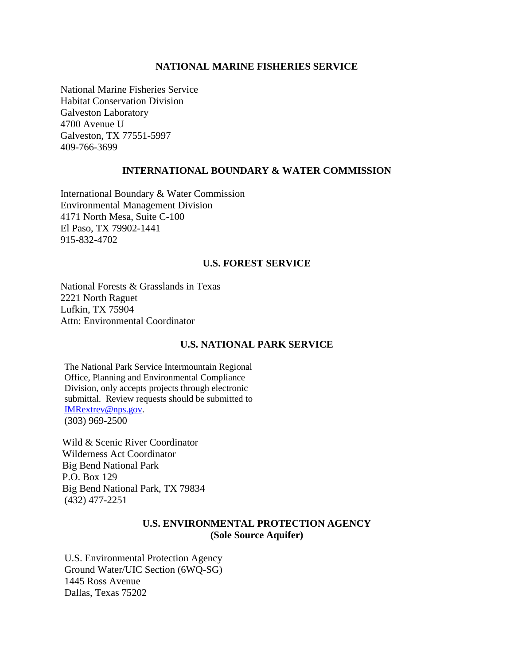### **NATIONAL MARINE FISHERIES SERVICE**

National Marine Fisheries Service Habitat Conservation Division Galveston Laboratory 4700 Avenue U Galveston, TX 77551-5997 409-766-3699

### **INTERNATIONAL BOUNDARY & WATER COMMISSION**

International Boundary & Water Commission Environmental Management Division 4171 North Mesa, Suite C-100 El Paso, TX 79902-1441 915-832-4702

### **U.S. FOREST SERVICE**

National Forests & Grasslands in Texas 2221 North Raguet Lufkin, TX 75904 Attn: Environmental Coordinator

# **U.S. NATIONAL PARK SERVICE**

The National Park Service Intermountain Regional Office, Planning and Environmental Compliance Division, only accepts projects through electronic submittal. Review requests should be submitted to [IMRextrev@nps.gov.](mailto:IMRextrev@nps.gov) (303) 969-2500

Wild & Scenic River Coordinator Wilderness Act Coordinator Big Bend National Park P.O. Box 129 Big Bend National Park, TX 79834 (432) 477-2251

# **U.S. ENVIRONMENTAL PROTECTION AGENCY (Sole Source Aquifer)**

U.S. Environmental Protection Agency Ground Water/UIC Section (6WQ-SG) 1445 Ross Avenue Dallas, Texas 75202